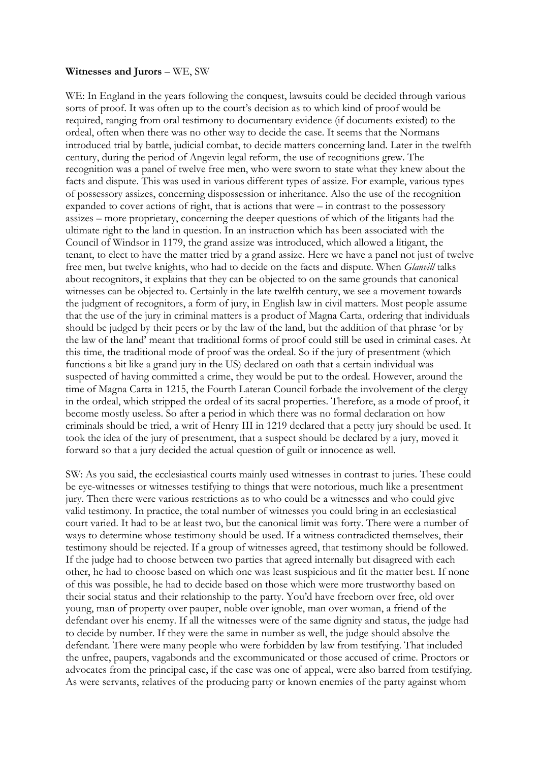## **Witnesses and Jurors** – WE, SW

WE: In England in the years following the conquest, lawsuits could be decided through various sorts of proof. It was often up to the court's decision as to which kind of proof would be required, ranging from oral testimony to documentary evidence (if documents existed) to the ordeal, often when there was no other way to decide the case. It seems that the Normans introduced trial by battle, judicial combat, to decide matters concerning land. Later in the twelfth century, during the period of Angevin legal reform, the use of recognitions grew. The recognition was a panel of twelve free men, who were sworn to state what they knew about the facts and dispute. This was used in various different types of assize. For example, various types of possessory assizes, concerning dispossession or inheritance. Also the use of the recognition expanded to cover actions of right, that is actions that were – in contrast to the possessory assizes – more proprietary, concerning the deeper questions of which of the litigants had the ultimate right to the land in question. In an instruction which has been associated with the Council of Windsor in 1179, the grand assize was introduced, which allowed a litigant, the tenant, to elect to have the matter tried by a grand assize. Here we have a panel not just of twelve free men, but twelve knights, who had to decide on the facts and dispute. When *Glanvill* talks about recognitors, it explains that they can be objected to on the same grounds that canonical witnesses can be objected to. Certainly in the late twelfth century, we see a movement towards the judgment of recognitors, a form of jury, in English law in civil matters. Most people assume that the use of the jury in criminal matters is a product of Magna Carta, ordering that individuals should be judged by their peers or by the law of the land, but the addition of that phrase 'or by the law of the land' meant that traditional forms of proof could still be used in criminal cases. At this time, the traditional mode of proof was the ordeal. So if the jury of presentment (which functions a bit like a grand jury in the US) declared on oath that a certain individual was suspected of having committed a crime, they would be put to the ordeal. However, around the time of Magna Carta in 1215, the Fourth Lateran Council forbade the involvement of the clergy in the ordeal, which stripped the ordeal of its sacral properties. Therefore, as a mode of proof, it become mostly useless. So after a period in which there was no formal declaration on how criminals should be tried, a writ of Henry III in 1219 declared that a petty jury should be used. It took the idea of the jury of presentment, that a suspect should be declared by a jury, moved it forward so that a jury decided the actual question of guilt or innocence as well.

SW: As you said, the ecclesiastical courts mainly used witnesses in contrast to juries. These could be eye-witnesses or witnesses testifying to things that were notorious, much like a presentment jury. Then there were various restrictions as to who could be a witnesses and who could give valid testimony. In practice, the total number of witnesses you could bring in an ecclesiastical court varied. It had to be at least two, but the canonical limit was forty. There were a number of ways to determine whose testimony should be used. If a witness contradicted themselves, their testimony should be rejected. If a group of witnesses agreed, that testimony should be followed. If the judge had to choose between two parties that agreed internally but disagreed with each other, he had to choose based on which one was least suspicious and fit the matter best. If none of this was possible, he had to decide based on those which were more trustworthy based on their social status and their relationship to the party. You'd have freeborn over free, old over young, man of property over pauper, noble over ignoble, man over woman, a friend of the defendant over his enemy. If all the witnesses were of the same dignity and status, the judge had to decide by number. If they were the same in number as well, the judge should absolve the defendant. There were many people who were forbidden by law from testifying. That included the unfree, paupers, vagabonds and the excommunicated or those accused of crime. Proctors or advocates from the principal case, if the case was one of appeal, were also barred from testifying. As were servants, relatives of the producing party or known enemies of the party against whom